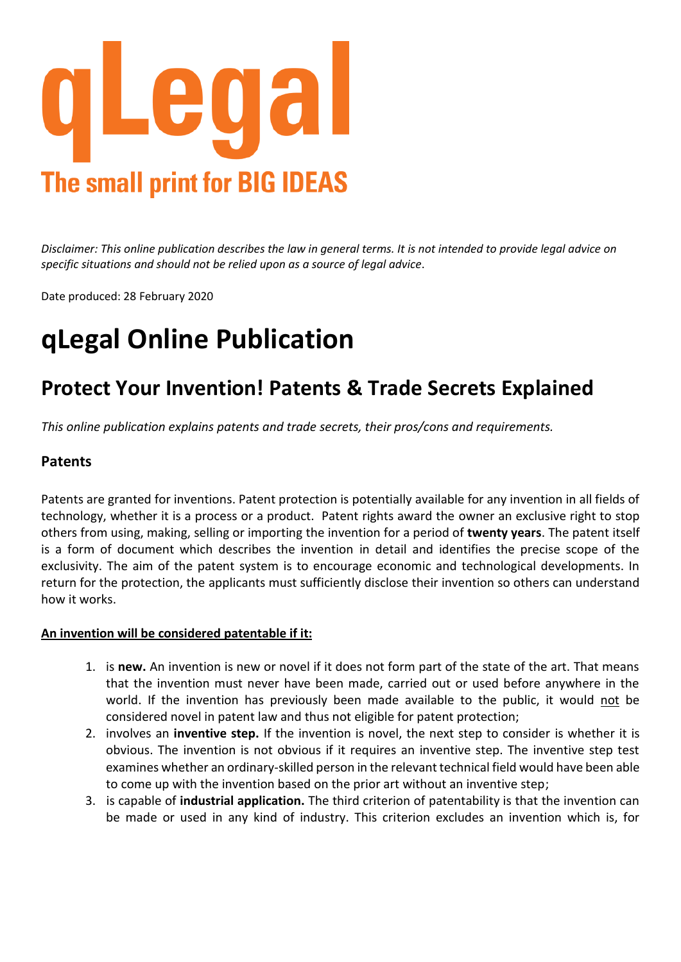

*Disclaimer: This online publication describes the law in general terms. It is not intended to provide legal advice on specific situations and should not be relied upon as a source of legal advice*.

Date produced: 28 February 2020

## **qLegal Online Publication**

### **Protect Your Invention! Patents & Trade Secrets Explained**

*This online publication explains patents and trade secrets, their pros/cons and requirements.* 

#### **Patents**

Patents are granted for inventions. Patent protection is potentially available for any invention in all fields of technology, whether it is a process or a product. Patent rights award the owner an exclusive right to stop others from using, making, selling or importing the invention for a period of **twenty years**. The patent itself is a form of document which describes the invention in detail and identifies the precise scope of the exclusivity. The aim of the patent system is to encourage economic and technological developments. In return for the protection, the applicants must sufficiently disclose their invention so others can understand how it works.

#### **An invention will be considered patentable if it:**

- 1. is **new.** An invention is new or novel if it does not form part of the state of the art. That means that the invention must never have been made, carried out or used before anywhere in the world. If the invention has previously been made available to the public, it would not be considered novel in patent law and thus not eligible for patent protection;
- 2. involves an **inventive step.** If the invention is novel, the next step to consider is whether it is obvious. The invention is not obvious if it requires an inventive step. The inventive step test examines whether an ordinary-skilled person in the relevant technical field would have been able to come up with the invention based on the prior art without an inventive step;
- 3. is capable of **industrial application.** The third criterion of patentability is that the invention can be made or used in any kind of industry. This criterion excludes an invention which is, for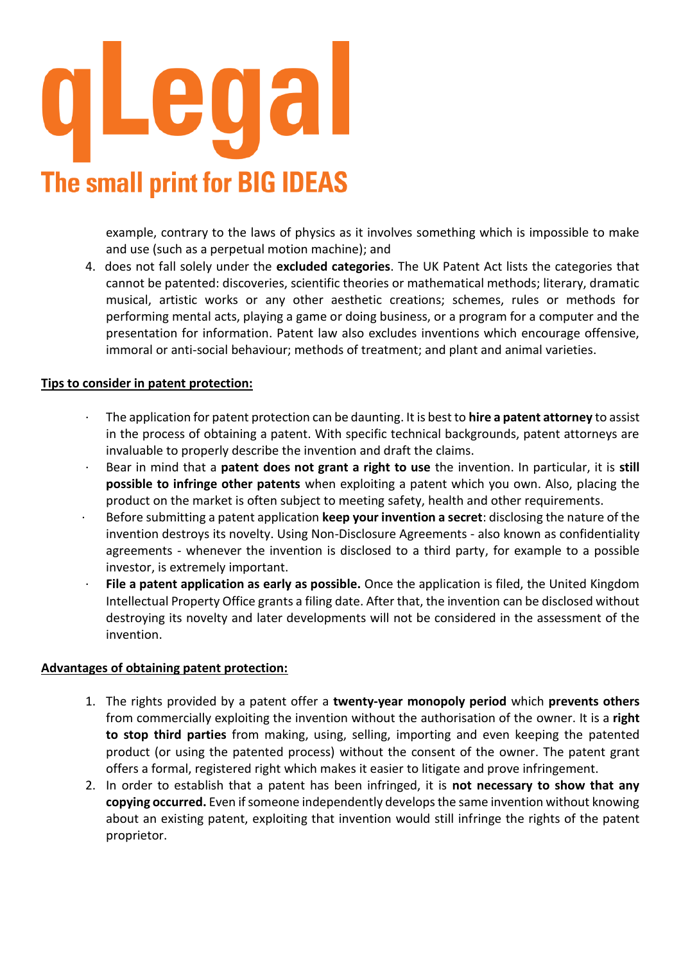# e **The small print for BIG IDEAS**

example, contrary to the laws of physics as it involves something which is impossible to make and use (such as a perpetual motion machine); and

4. does not fall solely under the **excluded categories**. The UK Patent Act lists the categories that cannot be patented: discoveries, scientific theories or mathematical methods; literary, dramatic musical, artistic works or any other aesthetic creations; schemes, rules or methods for performing mental acts, playing a game or doing business, or a program for a computer and the presentation for information. Patent law also excludes inventions which encourage offensive, immoral or anti-social behaviour; methods of treatment; and plant and animal varieties.

#### **Tips to consider in patent protection:**

- · The application for patent protection can be daunting. It is best to **hire a patent attorney** to assist in the process of obtaining a patent. With specific technical backgrounds, patent attorneys are invaluable to properly describe the invention and draft the claims.
- · Bear in mind that a **patent does not grant a right to use** the invention. In particular, it is **still possible to infringe other patents** when exploiting a patent which you own. Also, placing the product on the market is often subject to meeting safety, health and other requirements.
- · Before submitting a patent application **keep your invention a secret**: disclosing the nature of the invention destroys its novelty. Using Non-Disclosure Agreements - also known as confidentiality agreements - whenever the invention is disclosed to a third party, for example to a possible investor, is extremely important.
- File a patent application as early as possible. Once the application is filed, the United Kingdom Intellectual Property Office grants a filing date. After that, the invention can be disclosed without destroying its novelty and later developments will not be considered in the assessment of the invention.

#### **Advantages of obtaining patent protection:**

- 1. The rights provided by a patent offer a **twenty-year monopoly period** which **prevents others** from commercially exploiting the invention without the authorisation of the owner. It is a **right to stop third parties** from making, using, selling, importing and even keeping the patented product (or using the patented process) without the consent of the owner. The patent grant offers a formal, registered right which makes it easier to litigate and prove infringement.
- 2. In order to establish that a patent has been infringed, it is **not necessary to show that any copying occurred.** Even if someone independently develops the same invention without knowing about an existing patent, exploiting that invention would still infringe the rights of the patent proprietor.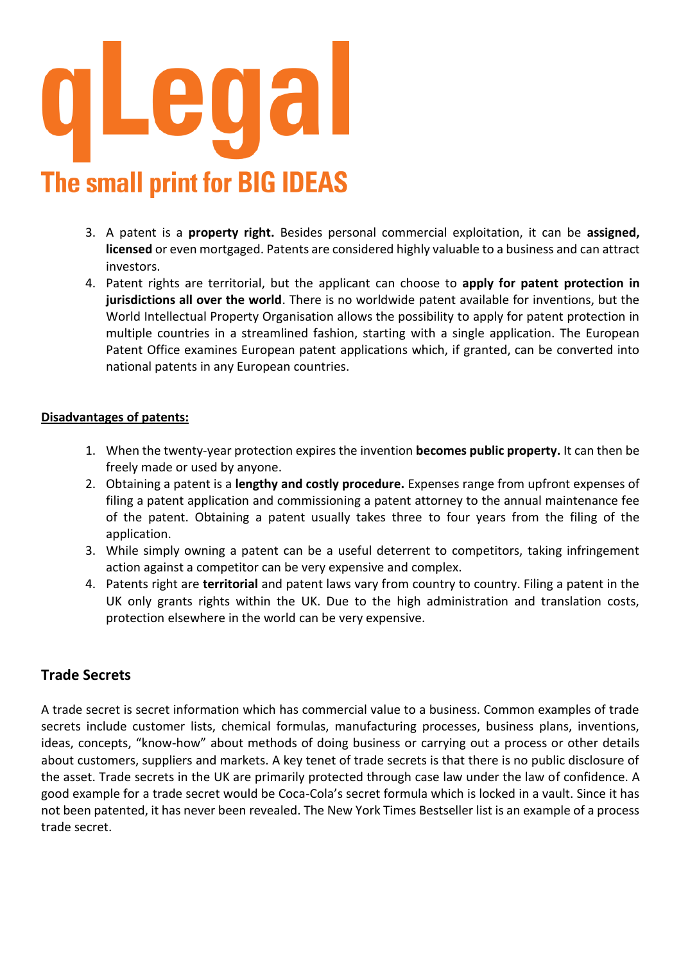

- 3. A patent is a **property right.** Besides personal commercial exploitation, it can be **assigned, licensed** or even mortgaged. Patents are considered highly valuable to a business and can attract investors.
- 4. Patent rights are territorial, but the applicant can choose to **apply for patent protection in jurisdictions all over the world**. There is no worldwide patent available for inventions, but the World Intellectual Property Organisation allows the possibility to apply for patent protection in multiple countries in a streamlined fashion, starting with a single application. The European Patent Office examines European patent applications which, if granted, can be converted into national patents in any European countries.

#### **Disadvantages of patents:**

- 1. When the twenty-year protection expires the invention **becomes public property.** It can then be freely made or used by anyone.
- 2. Obtaining a patent is a **lengthy and costly procedure.** Expenses range from upfront expenses of filing a patent application and commissioning a patent attorney to the annual maintenance fee of the patent. Obtaining a patent usually takes three to four years from the filing of the application.
- 3. While simply owning a patent can be a useful deterrent to competitors, taking infringement action against a competitor can be very expensive and complex.
- 4. Patents right are **territorial** and patent laws vary from country to country. Filing a patent in the UK only grants rights within the UK. Due to the high administration and translation costs, protection elsewhere in the world can be very expensive.

#### **Trade Secrets**

A trade secret is secret information which has commercial value to a business. Common examples of trade secrets include customer lists, chemical formulas, manufacturing processes, business plans, inventions, ideas, concepts, "know-how" about methods of doing business or carrying out a process or other details about customers, suppliers and markets. A key tenet of trade secrets is that there is no public disclosure of the asset. Trade secrets in the UK are primarily protected through case law under the law of confidence. A good example for a trade secret would be Coca-Cola's secret formula which is locked in a vault. Since it has not been patented, it has never been revealed. The New York Times Bestseller list is an example of a process trade secret.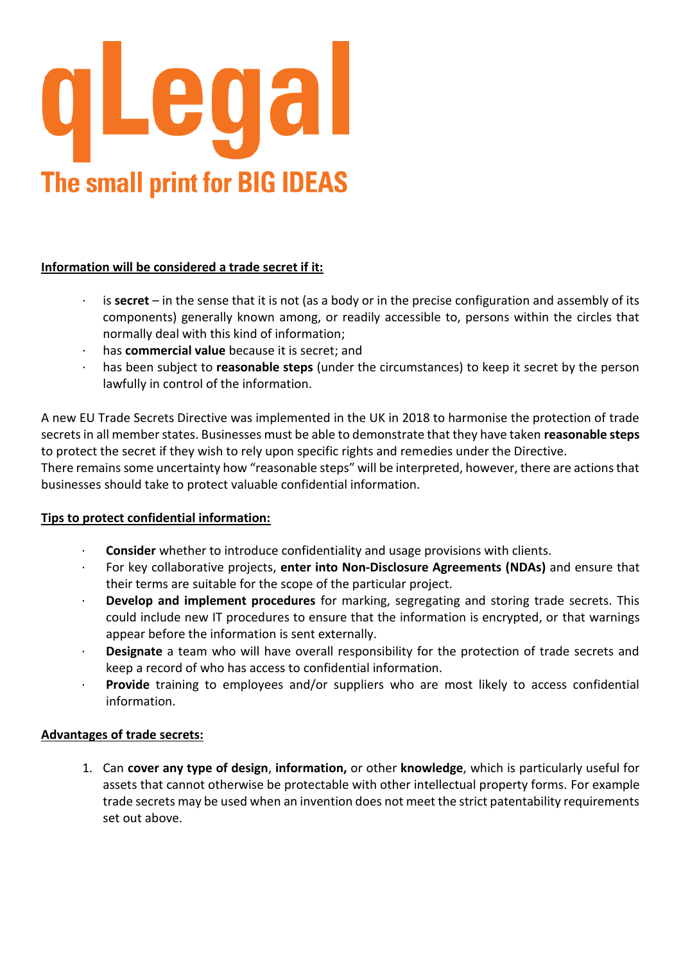

#### **Information will be considered a trade secret if it:**

- · is **secret** in the sense that it is not (as a body or in the precise configuration and assembly of its components) generally known among, or readily accessible to, persons within the circles that normally deal with this kind of information;
- has **commercial value** because it is secret; and
- · has been subject to **reasonable steps** (under the circumstances) to keep it secret by the person lawfully in control of the information.

A new EU Trade Secrets Directive was implemented in the UK in 2018 to harmonise the protection of trade secrets in all member states. Businesses must be able to demonstrate that they have taken **reasonable steps** to protect the secret if they wish to rely upon specific rights and remedies under the Directive. There remains some uncertainty how "reasonable steps" will be interpreted, however, there are actions that businesses should take to protect valuable confidential information.

#### **Tips to protect confidential information:**

- · **Consider** whether to introduce confidentiality and usage provisions with clients.
- · For key collaborative projects, **enter into Non-Disclosure Agreements (NDAs)** and ensure that their terms are suitable for the scope of the particular project.
- · **Develop and implement procedures** for marking, segregating and storing trade secrets. This could include new IT procedures to ensure that the information is encrypted, or that warnings appear before the information is sent externally.
- · **Designate** a team who will have overall responsibility for the protection of trade secrets and keep a record of who has access to confidential information.
- Provide training to employees and/or suppliers who are most likely to access confidential information.

#### **Advantages of trade secrets:**

1. Can **cover any type of design**, **information,** or other **knowledge**, which is particularly useful for assets that cannot otherwise be protectable with other intellectual property forms. For example trade secrets may be used when an invention does not meet the strict patentability requirements set out above.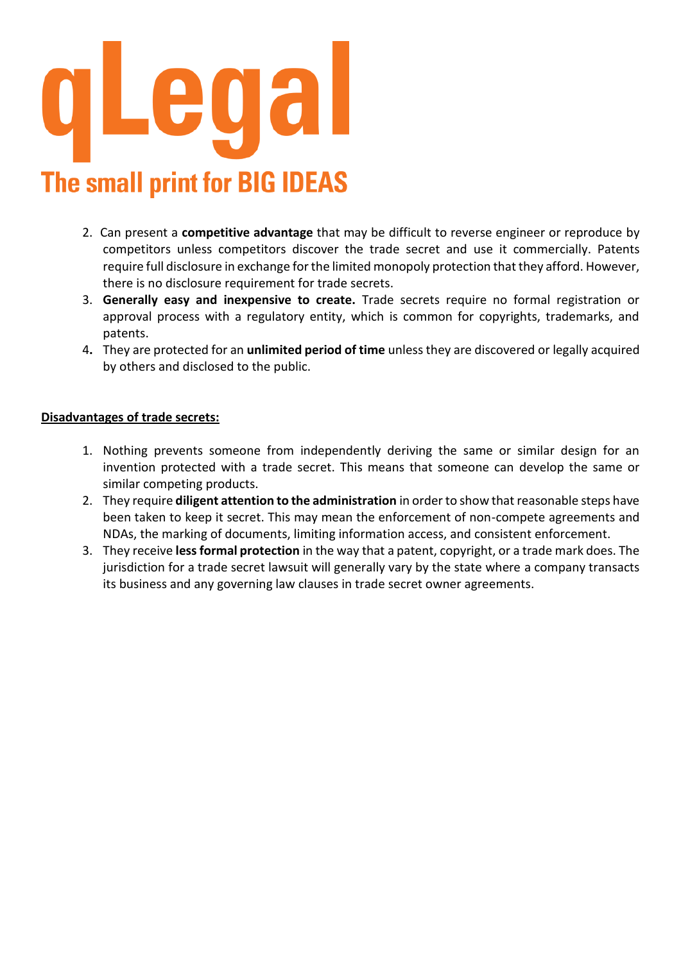

- 2. Can present a **competitive advantage** that may be difficult to reverse engineer or reproduce by competitors unless competitors discover the trade secret and use it commercially. Patents require full disclosure in exchange for the limited monopoly protection that they afford. However, there is no disclosure requirement for trade secrets.
- 3. **Generally easy and inexpensive to create.** Trade secrets require no formal registration or approval process with a regulatory entity, which is common for copyrights, trademarks, and patents.
- 4**.** They are protected for an **unlimited period of time** unless they are discovered or legally acquired by others and disclosed to the public.

#### **Disadvantages of trade secrets:**

- 1. Nothing prevents someone from independently deriving the same or similar design for an invention protected with a trade secret. This means that someone can develop the same or similar competing products.
- 2. They require **diligent attention to the administration** in order to show that reasonable steps have been taken to keep it secret. This may mean the enforcement of non-compete agreements and NDAs, the marking of documents, limiting information access, and consistent enforcement.
- 3. They receive **less formal protection** in the way that a patent, copyright, or a trade mark does. The jurisdiction for a trade secret lawsuit will generally vary by the state where a company transacts its business and any governing law clauses in trade secret owner agreements.